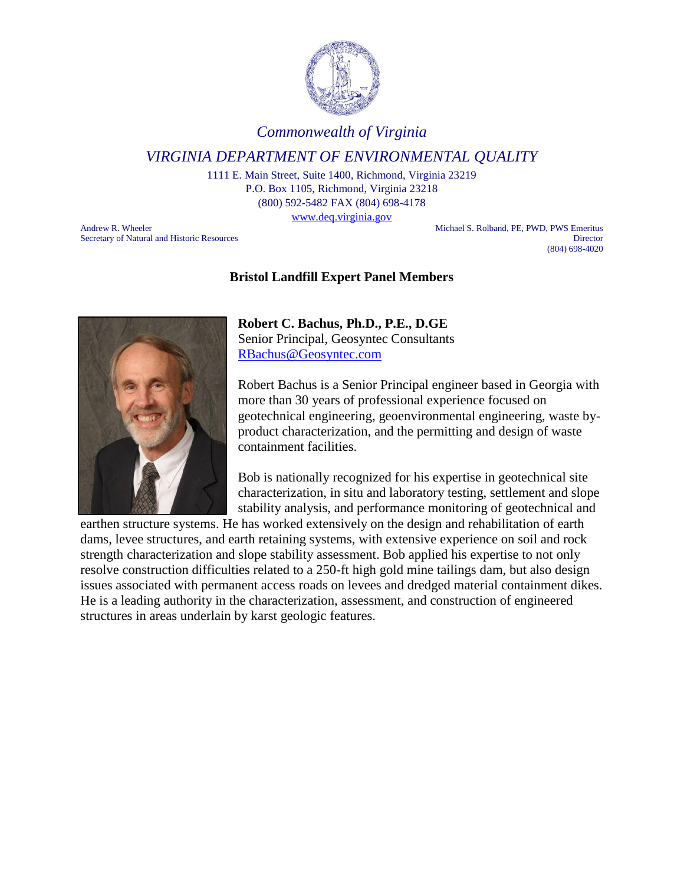

### *Commonwealth of Virginia*

## *VIRGINIA DEPARTMENT OF ENVIRONMENTAL QUALITY*

1111 E. Main Street, Suite 1400, Richmond, Virginia 23219 P.O. Box 1105, Richmond, Virginia 23218 (800) 592-5482 FAX (804) 698-4178 [www.deq.virginia.gov](http://www.deq.virginia.gov/)

Andrew R. Wheeler Michael S. Rolband, PE, PWD, PWS Emeritus Secretary of Natural and Historic Resources Director (804) 698-4020

#### **Bristol Landfill Expert Panel Members**



**Robert C. Bachus, Ph.D., P.E., D.GE** Senior Principal, Geosyntec Consultants

[RBachus@Geosyntec.com](mailto:RBachus@Geosyntec.com)

Robert Bachus is a Senior Principal engineer based in Georgia with more than 30 years of professional experience focused on geotechnical engineering, geoenvironmental engineering, waste byproduct characterization, and the permitting and design of waste containment facilities.

Bob is nationally recognized for his expertise in geotechnical site characterization, in situ and laboratory testing, settlement and slope stability analysis, and performance monitoring of geotechnical and

earthen structure systems. He has worked extensively on the design and rehabilitation of earth dams, levee structures, and earth retaining systems, with extensive experience on soil and rock strength characterization and slope stability assessment. Bob applied his expertise to not only resolve construction difficulties related to a 250-ft high gold mine tailings dam, but also design issues associated with permanent access roads on levees and dredged material containment dikes. He is a leading authority in the characterization, assessment, and construction of engineered structures in areas underlain by karst geologic features.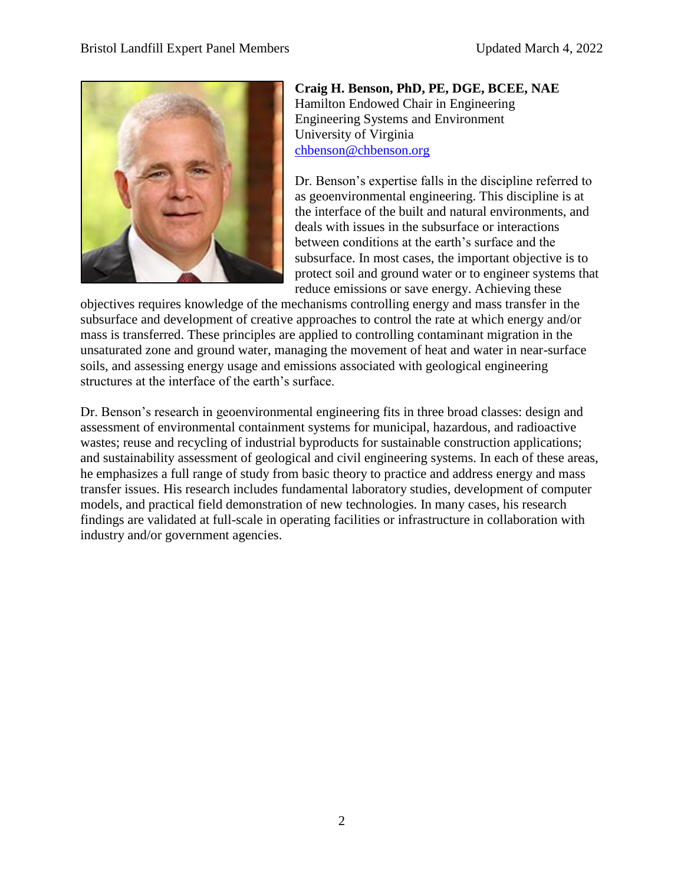

**Craig H. Benson, PhD, PE, DGE, BCEE, NAE** Hamilton Endowed Chair in Engineering Engineering Systems and Environment University of Virginia [chbenson@chbenson.org](mailto:chbenson@chbenson.org)

Dr. Benson's expertise falls in the discipline referred to as geoenvironmental engineering. This discipline is at the interface of the built and natural environments, and deals with issues in the subsurface or interactions between conditions at the earth's surface and the subsurface. In most cases, the important objective is to protect soil and ground water or to engineer systems that reduce emissions or save energy. Achieving these

objectives requires knowledge of the mechanisms controlling energy and mass transfer in the subsurface and development of creative approaches to control the rate at which energy and/or mass is transferred. These principles are applied to controlling contaminant migration in the unsaturated zone and ground water, managing the movement of heat and water in near-surface soils, and assessing energy usage and emissions associated with geological engineering structures at the interface of the earth's surface.

Dr. Benson's research in geoenvironmental engineering fits in three broad classes: design and assessment of environmental containment systems for municipal, hazardous, and radioactive wastes; reuse and recycling of industrial byproducts for sustainable construction applications; and sustainability assessment of geological and civil engineering systems. In each of these areas, he emphasizes a full range of study from basic theory to practice and address energy and mass transfer issues. His research includes fundamental laboratory studies, development of computer models, and practical field demonstration of new technologies. In many cases, his research findings are validated at full-scale in operating facilities or infrastructure in collaboration with industry and/or government agencies.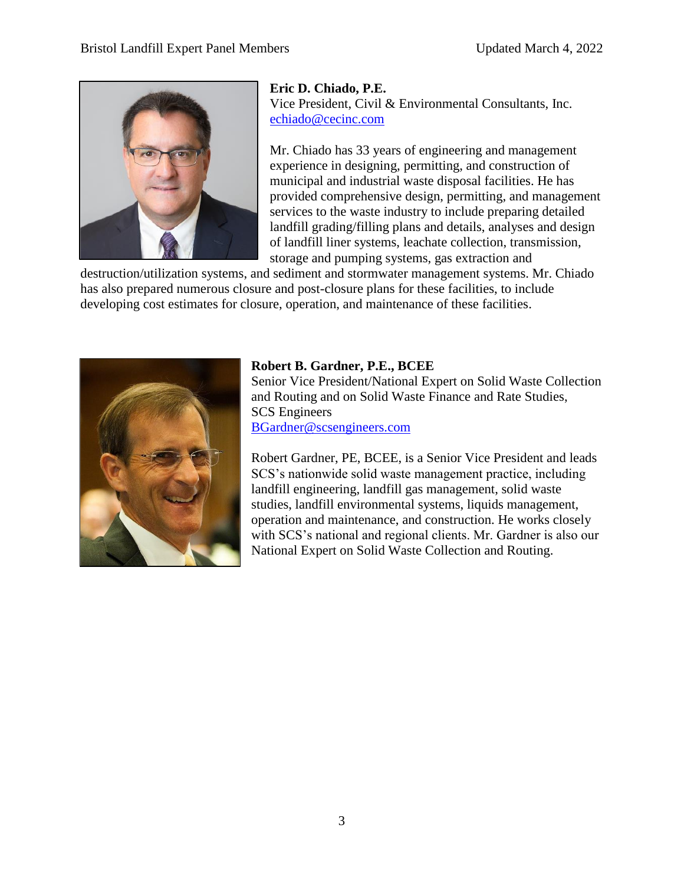

**Eric D. Chiado, P.E.** Vice President, Civil & Environmental Consultants, Inc. [echiado@cecinc.com](mailto:echiado@cecinc.com)

Mr. Chiado has 33 years of engineering and management experience in designing, permitting, and construction of municipal and industrial waste disposal facilities. He has provided comprehensive design, permitting, and management services to the waste industry to include preparing detailed landfill grading/filling plans and details, analyses and design of landfill liner systems, leachate collection, transmission, storage and pumping systems, gas extraction and

destruction/utilization systems, and sediment and stormwater management systems. Mr. Chiado has also prepared numerous closure and post-closure plans for these facilities, to include developing cost estimates for closure, operation, and maintenance of these facilities.



### **Robert B. Gardner, P.E., BCEE**

Senior Vice President/National Expert on Solid Waste Collection and Routing and on Solid Waste Finance and Rate Studies, SCS Engineers [BGardner@scsengineers.com](mailto:BGardner@scsengineers.com)

Robert Gardner, PE, BCEE, is a Senior Vice President and leads SCS's nationwide solid waste management practice, including landfill engineering, landfill gas management, solid waste studies, landfill environmental systems, liquids management, operation and maintenance, and construction. He works closely with SCS's national and regional clients. Mr. Gardner is also our National Expert on Solid Waste Collection and Routing.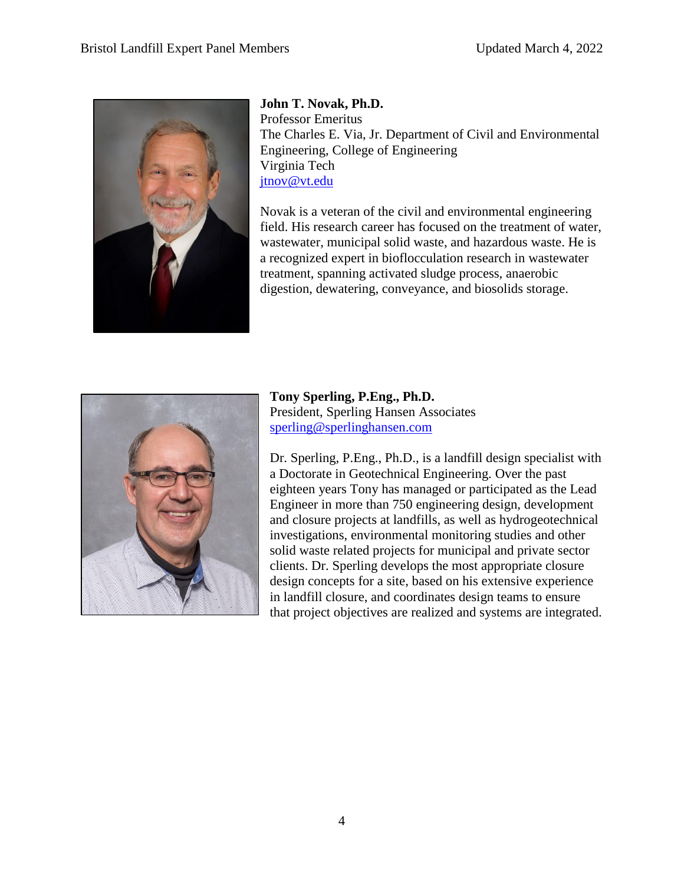

**John T. Novak, Ph.D.** Professor Emeritus The Charles E. Via, Jr. Department of Civil and Environmental Engineering, College of Engineering Virginia Tech [jtnov@vt.edu](mailto:jtnov@vt.edu)

Novak is a veteran of the civil and environmental engineering field. His research career has focused on the treatment of water, wastewater, municipal solid waste, and hazardous waste. He is a recognized expert in bioflocculation research in wastewater treatment, spanning activated sludge process, anaerobic digestion, dewatering, conveyance, and biosolids storage.



**Tony Sperling, P.Eng., Ph.D.** President, Sperling Hansen Associates [sperling@sperlinghansen.com](mailto:sperling@sperlinghansen.com)

Dr. Sperling, P.Eng., Ph.D., is a landfill design specialist with a Doctorate in Geotechnical Engineering. Over the past eighteen years Tony has managed or participated as the Lead Engineer in more than 750 engineering design, development and closure projects at landfills, as well as hydrogeotechnical investigations, environmental monitoring studies and other solid waste related projects for municipal and private sector clients. Dr. Sperling develops the most appropriate closure design concepts for a site, based on his extensive experience in landfill closure, and coordinates design teams to ensure that project objectives are realized and systems are integrated.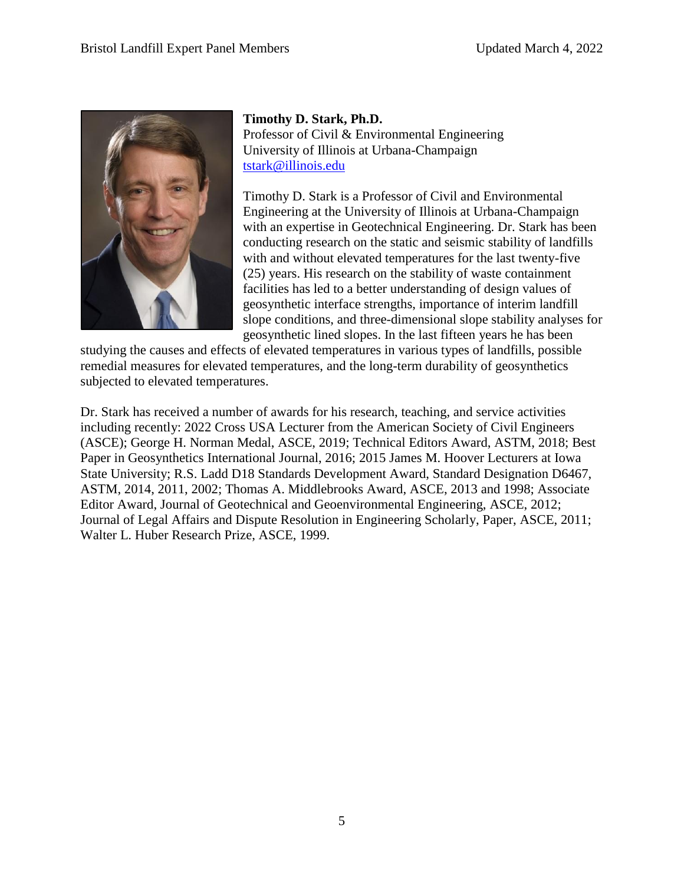

**Timothy D. Stark, Ph.D.** Professor of Civil & Environmental Engineering University of Illinois at Urbana-Champaign [tstark@illinois.edu](mailto:tstark@illinois.edu)

Timothy D. Stark is a Professor of Civil and Environmental Engineering at the University of Illinois at Urbana-Champaign with an expertise in Geotechnical Engineering. Dr. Stark has been conducting research on the static and seismic stability of landfills with and without elevated temperatures for the last twenty-five (25) years. His research on the stability of waste containment facilities has led to a better understanding of design values of geosynthetic interface strengths, importance of interim landfill slope conditions, and three-dimensional slope stability analyses for geosynthetic lined slopes. In the last fifteen years he has been

studying the causes and effects of elevated temperatures in various types of landfills, possible remedial measures for elevated temperatures, and the long-term durability of geosynthetics subjected to elevated temperatures.

Dr. Stark has received a number of awards for his research, teaching, and service activities including recently: 2022 Cross USA Lecturer from the American Society of Civil Engineers (ASCE); George H. Norman Medal, ASCE, 2019; Technical Editors Award, ASTM, 2018; Best Paper in Geosynthetics International Journal, 2016; 2015 James M. Hoover Lecturers at Iowa State University; R.S. Ladd D18 Standards Development Award, Standard Designation D6467, ASTM, 2014, 2011, 2002; Thomas A. Middlebrooks Award, ASCE, 2013 and 1998; Associate Editor Award, Journal of Geotechnical and Geoenvironmental Engineering, ASCE, 2012; Journal of Legal Affairs and Dispute Resolution in Engineering Scholarly, Paper, ASCE, 2011; Walter L. Huber Research Prize, ASCE, 1999.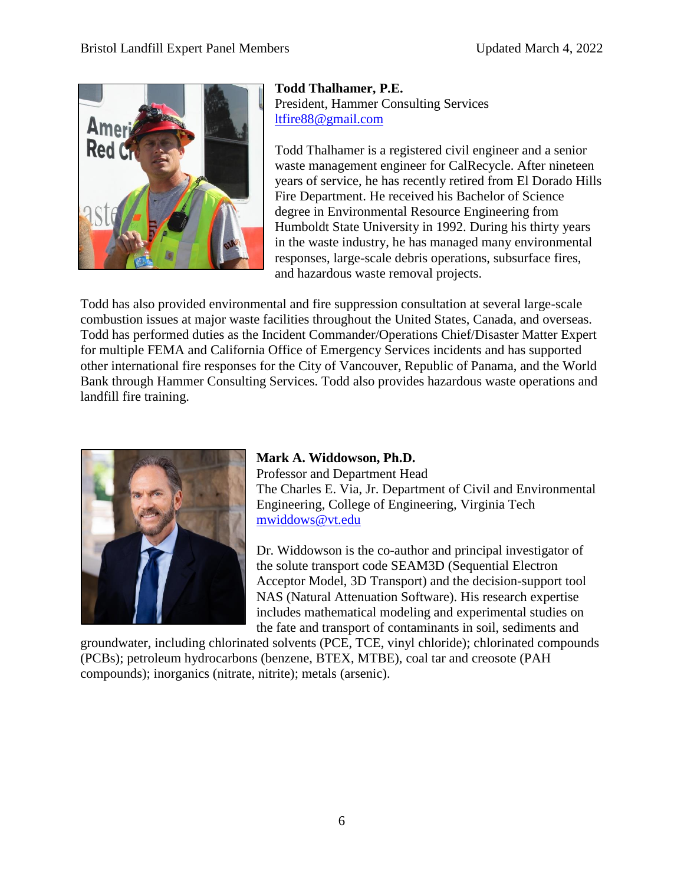

**Todd Thalhamer, P.E.** President, Hammer Consulting Services [ltfire88@gmail.com](mailto:ltfire88@gmail.com)

Todd Thalhamer is a registered civil engineer and a senior waste management engineer for CalRecycle. After nineteen years of service, he has recently retired from El Dorado Hills Fire Department. He received his Bachelor of Science degree in Environmental Resource Engineering from Humboldt State University in 1992. During his thirty years in the waste industry, he has managed many environmental responses, large-scale debris operations, subsurface fires, and hazardous waste removal projects.

Todd has also provided environmental and fire suppression consultation at several large-scale combustion issues at major waste facilities throughout the United States, Canada, and overseas. Todd has performed duties as the Incident Commander/Operations Chief/Disaster Matter Expert for multiple FEMA and California Office of Emergency Services incidents and has supported other international fire responses for the City of Vancouver, Republic of Panama, and the World Bank through Hammer Consulting Services. Todd also provides hazardous waste operations and landfill fire training.



# **Mark A. Widdowson, Ph.D.**

Professor and Department Head The Charles E. Via, Jr. Department of Civil and Environmental Engineering, College of Engineering, Virginia Tech [mwiddows@vt.edu](mailto:mwiddows@vt.edu)

Dr. Widdowson is the co-author and principal investigator of the solute transport code SEAM3D (Sequential Electron Acceptor Model, 3D Transport) and the decision-support tool NAS (Natural Attenuation Software). His research expertise includes mathematical modeling and experimental studies on the fate and transport of contaminants in soil, sediments and

groundwater, including chlorinated solvents (PCE, TCE, vinyl chloride); chlorinated compounds (PCBs); petroleum hydrocarbons (benzene, BTEX, MTBE), coal tar and creosote (PAH compounds); inorganics (nitrate, nitrite); metals (arsenic).